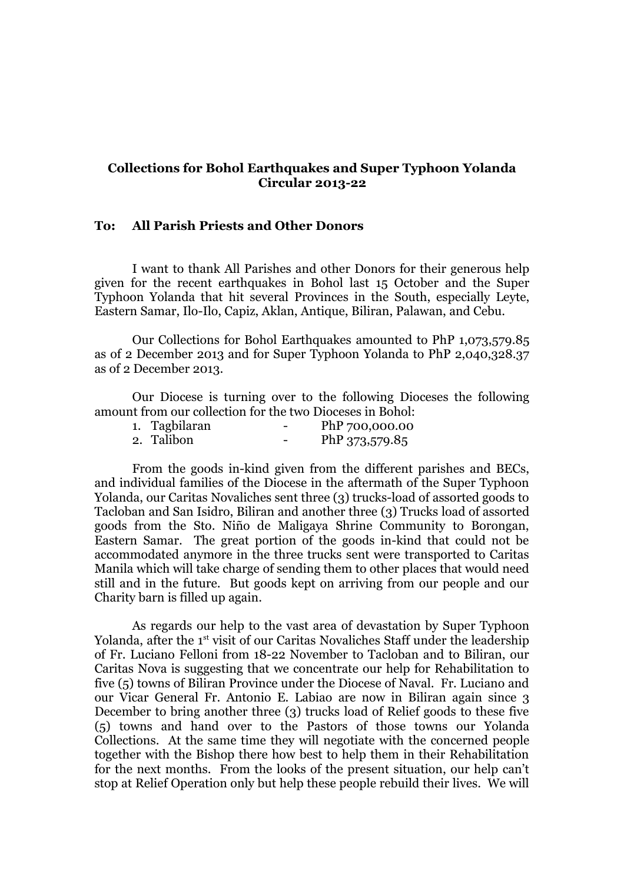## **Collections for Bohol Earthquakes and Super Typhoon Yolanda Circular 2013-22**

## **To: All Parish Priests and Other Donors**

I want to thank All Parishes and other Donors for their generous help given for the recent earthquakes in Bohol last 15 October and the Super Typhoon Yolanda that hit several Provinces in the South, especially Leyte, Eastern Samar, Ilo-Ilo, Capiz, Aklan, Antique, Biliran, Palawan, and Cebu.

Our Collections for Bohol Earthquakes amounted to PhP 1,073,579.85 as of 2 December 2013 and for Super Typhoon Yolanda to PhP 2,040,328.37 as of 2 December 2013.

Our Diocese is turning over to the following Dioceses the following amount from our collection for the two Dioceses in Bohol:

| 1. Tagbilaran | PhP 700,000.00 |
|---------------|----------------|
| 2. Talibon    | PhP 373,579.85 |

From the goods in-kind given from the different parishes and BECs, and individual families of the Diocese in the aftermath of the Super Typhoon Yolanda, our Caritas Novaliches sent three (3) trucks-load of assorted goods to Tacloban and San Isidro, Biliran and another three (3) Trucks load of assorted goods from the Sto. Niño de Maligaya Shrine Community to Borongan, Eastern Samar. The great portion of the goods in-kind that could not be accommodated anymore in the three trucks sent were transported to Caritas Manila which will take charge of sending them to other places that would need still and in the future. But goods kept on arriving from our people and our Charity barn is filled up again.

As regards our help to the vast area of devastation by Super Typhoon Yolanda, after the 1<sup>st</sup> visit of our Caritas Novaliches Staff under the leadership of Fr. Luciano Felloni from 18-22 November to Tacloban and to Biliran, our Caritas Nova is suggesting that we concentrate our help for Rehabilitation to five (5) towns of Biliran Province under the Diocese of Naval. Fr. Luciano and our Vicar General Fr. Antonio E. Labiao are now in Biliran again since 3 December to bring another three (3) trucks load of Relief goods to these five (5) towns and hand over to the Pastors of those towns our Yolanda Collections. At the same time they will negotiate with the concerned people together with the Bishop there how best to help them in their Rehabilitation for the next months. From the looks of the present situation, our help can't stop at Relief Operation only but help these people rebuild their lives. We will